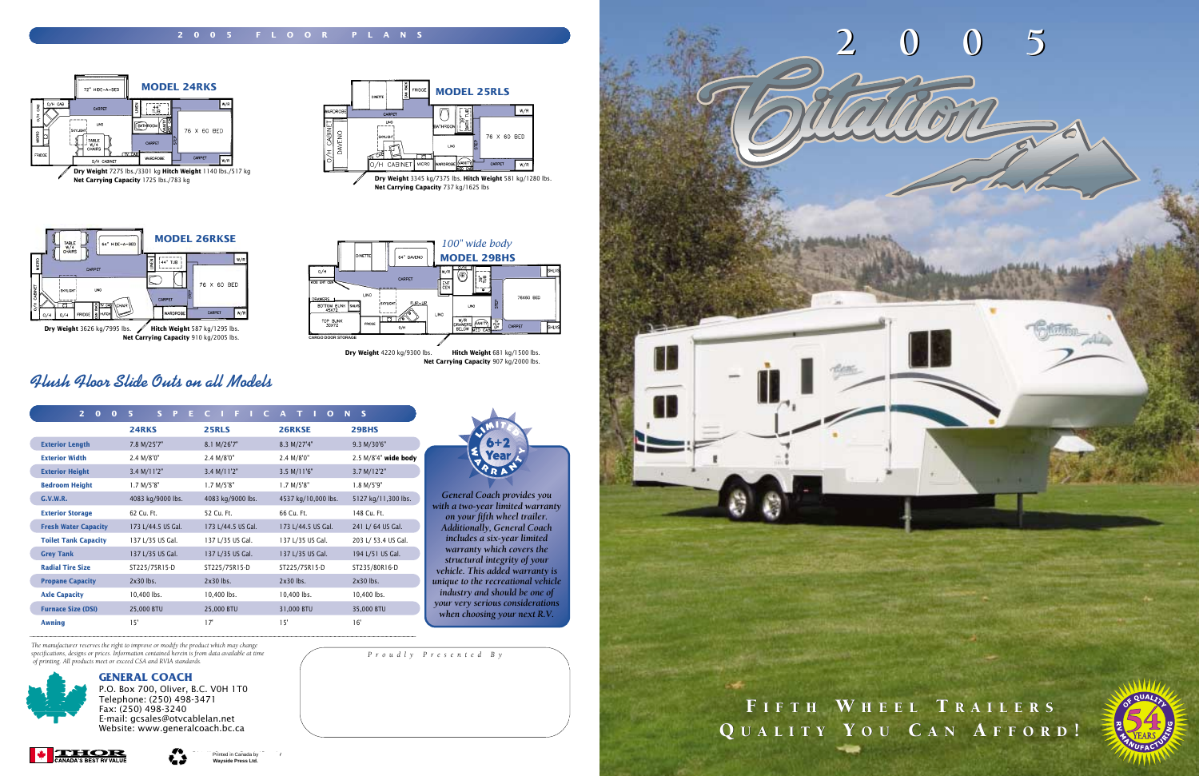

*Proudly Presented By*

*The manufacturer reserves the right to improve or modify the product which may change specifications, designs or prices. Information contained herein is from data available at time of printing. All products meet or exceed CSA and RVIA standards.*

| $\overline{2}$<br>$\bf{0}$<br>$\Omega$ | 5<br>S.<br>P<br>E. | $\overline{c}$<br>$C_{\perp}$<br>- F.<br>- 11 | A T<br>$\Omega$<br><b>CONTRACTOR</b> | N<br><b>S</b>        |
|----------------------------------------|--------------------|-----------------------------------------------|--------------------------------------|----------------------|
|                                        | 24RKS              | <b>25RLS</b>                                  | 26RKSE                               | 29BHS                |
| <b>Exterior Length</b>                 | 7.8 M/25'7"        | 8.1 M/26'7"                                   | 8.3 M/27'4"                          | 9.3 M/30'6"          |
| <b>Exterior Width</b>                  | 2.4 M/8'0"         | 2.4 M/8'0"                                    | 2.4 M/8'0"                           | 2.5 M/8'4" wide body |
| <b>Exterior Height</b>                 | 3.4 M/11'2"        | 3.4 M/11'2"                                   | 3.5 M/11'6"                          | 3.7 M/12'2"          |
| <b>Bedroom Height</b>                  | 1.7 M/5'8"         | 1.7 M/5'8"                                    | 1.7 M/5'8"                           | 1.8 M/5'9"           |
| G.V.W.R.                               | 4083 kg/9000 lbs.  | 4083 kg/9000 lbs.                             | 4537 kg/10,000 lbs.                  | 5127 kg/11,300 lbs.  |
| <b>Exterior Storage</b>                | 62 Cu. Ft.         | 52 Cu. Ft.                                    | 66 Cu. Ft.                           | 148 Cu. Ft.          |
| <b>Fresh Water Capacity</b>            | 173 L/44.5 US Gal. | 173 L/44.5 US Gal.                            | 173 L/44.5 US Gal.                   | 241 L/ 64 US Gal.    |
| <b>Toilet Tank Capacity</b>            | 137 L/35 US Gal.   | 137 L/35 US Gal.                              | 137 L/35 US Gal.                     | 203 L/ 53.4 US Gal.  |
| <b>Grey Tank</b>                       | 137 L/35 US Gal.   | 137 L/35 US Gal.                              | 137 L/35 US Gal.                     | 194 L/51 US Gal.     |
| <b>Radial Tire Size</b>                | ST225/75R15-D      | ST225/75R15-D                                 | ST225/75R15-D                        | ST235/80R16-D        |
| <b>Propane Capacity</b>                | $2x30$ lbs.        | $2x30$ lhs.                                   | $2x30$ lhs.                          | $2x30$ lhs.          |
| <b>Axle Capacity</b>                   | 10,400 lbs.        | 10,400 lbs.                                   | 10,400 lbs.                          | 10,400 lbs.          |
| <b>Furnace Size (DSI)</b>              | 25,000 BTU         | 25,000 BTU                                    | 31,000 BTU                           | 35,000 BTU           |
| <b>Awning</b>                          | 15'                | 17'                                           | 15'                                  | 16'                  |



### **GENERAL COACH**



P.O. Box 700, Oliver, B.C. V0H 1T0 Telephone: (250) 498-3471 Fax: (250) 498-3240 E-mail: gcsales@otvcablelan.net Website: www.generalcoach.bc.ca

ŁJ



**Net Carrying Capacity** 737 kg/1625 lbs





*General Coach provides you with a two-year limited warranty on your fifth wheel trailer. Additionally, General Coach includes a six-year limited warranty which covers the structural integrity of your vehicle. This added warranty is unique to the recreational vehicle industry and should be one of your very serious considerations when choosing your next R.V.*



*Flush Floor Slide Outs on all Models*



**Net Carrying Capacity** 910 kg/2005 lbs.

**Dry Weight** 4220 kg/9300 lbs. **Hitch Weight** 681 kg/1500 lbs. **Net Carrying Capacity** 907 kg/2000 lbs.